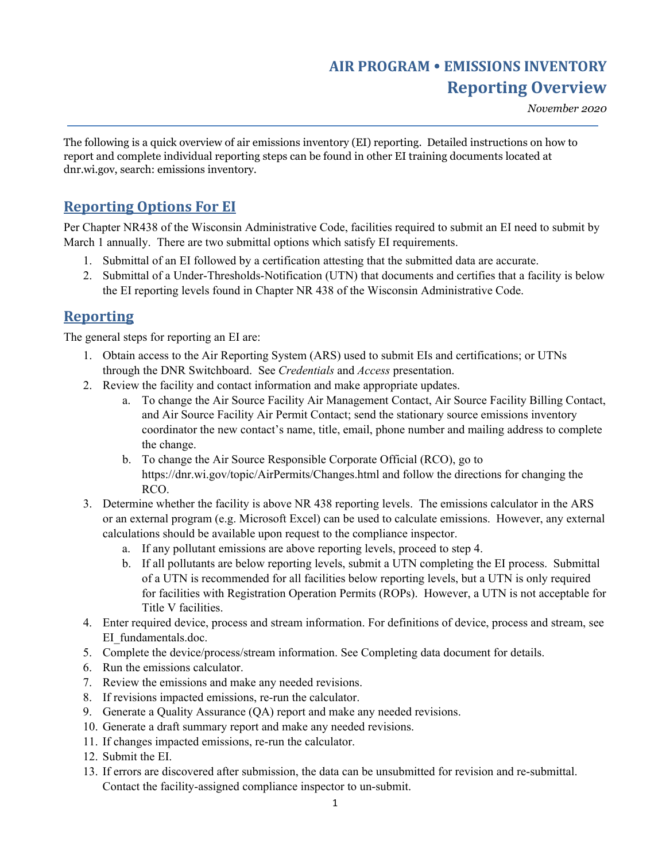## *November 2020*

The following is a quick overview of air emissions inventory (EI) reporting. Detailed instructions on how to report and complete individual reporting steps can be found in other EI training documents located at dnr.wi.gov, search: emissions inventory.

## **Reporting Options For EI**

Per Chapter NR438 of the Wisconsin Administrative Code, facilities required to submit an EI need to submit by March 1 annually. There are two submittal options which satisfy EI requirements.

- 1. Submittal of an EI followed by a certification attesting that the submitted data are accurate.
- 2. Submittal of a Under-Thresholds-Notification (UTN) that documents and certifies that a facility is below the EI reporting levels found in Chapter NR 438 of the Wisconsin Administrative Code.

## **Reporting**

The general steps for reporting an EI are:

- 1. Obtain access to the Air Reporting System (ARS) used to submit EIs and certifications; or UTNs through the DNR Switchboard. See *Credentials* and *Access* presentation.
- 2. Review the facility and contact information and make appropriate updates.
	- a. To change the Air Source Facility Air Management Contact, Air Source Facility Billing Contact, and Air Source Facility Air Permit Contact; send the stationary source emissions inventory coordinator the new contact's name, title, email, phone number and mailing address to complete the change.
	- b. To change the Air Source Responsible Corporate Official (RCO), go to https://dnr.wi.gov/topic/AirPermits/Changes.html and follow the directions for changing the RCO.
- 3. Determine whether the facility is above NR 438 reporting levels. The emissions calculator in the ARS or an external program (e.g. Microsoft Excel) can be used to calculate emissions. However, any external calculations should be available upon request to the compliance inspector.
	- a. If any pollutant emissions are above reporting levels, proceed to step 4.
	- b. If all pollutants are below reporting levels, submit a UTN completing the EI process. Submittal of a UTN is recommended for all facilities below reporting levels, but a UTN is only required for facilities with Registration Operation Permits (ROPs). However, a UTN is not acceptable for Title V facilities.
- 4. Enter required device, process and stream information. For definitions of device, process and stream, see EI\_fundamentals.doc.
- 5. Complete the device/process/stream information. See Completing data document for details.
- 6. Run the emissions calculator.
- 7. Review the emissions and make any needed revisions.
- 8. If revisions impacted emissions, re-run the calculator.
- 9. Generate a Quality Assurance (QA) report and make any needed revisions.
- 10. Generate a draft summary report and make any needed revisions.
- 11. If changes impacted emissions, re-run the calculator.
- 12. Submit the EI.
- 13. If errors are discovered after submission, the data can be unsubmitted for revision and re-submittal. Contact the facility-assigned compliance inspector to un-submit.